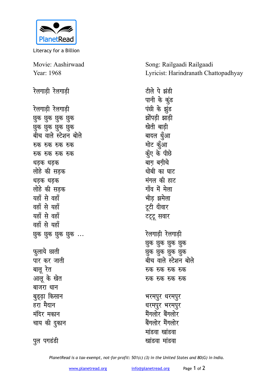

Literacy for a Billion

Movie: Aashirwaad Year: 1968

पुल पगडंडी

रेलगाडी रेलगाडी टीले पे झंडी पानी के कुंड रेलगाडी रेलगाडी पंछी के झूंड झोंपड़ी झाड़ी छुक छुक छुक छुक खेती बाडी छुक छुक छुक छुक बीच वाले स्टेशन बोले बादल धुँआ मोट कॅुआ रुक रुक रुक रुक कूँए के पीछे रुक रुक रुक रुक बाग बगीचे धड़क धड़क धोबी का घाट लोहे की सड़क मंगल की हाट धड़क धड़क गाँव में मेला लोहे की सडक भीड झमेला यहाँ से वहाँ वहाँ से यहाँ टूटी दीवार यहाँ से वहाँ टट्टू सवार वहाँ से यहाँ रेलगाडी रेलगाडी छुक छुक छुक छुक ... छुक छुक छुक छुक फ़ूलाये छाती छुक छुक छुक छुक पार कर जाती बीच वाले स्टेशन बोले बालु रेत रुक रुक रुक रुक आलू के खेत रुक रुक रुक रुक बाजरा धान बुड्ढ़ा किसान भरमपुर धरमपुर हरा मैदान धरमपुर भरमपुर मैंगलोर बैंगलोर मंदिर मकान चाय की दुकान बैंगलोर मैंगलोर मांडवा खांडवा

Song: Railgaadi Railgaadi Lyricist: Harindranath Chattopadhyay

PlanetRead is a tax-exempt, not-for-profit: 501(c) (3) in the United States and 80(G) in India.

खांडवा मांडवा